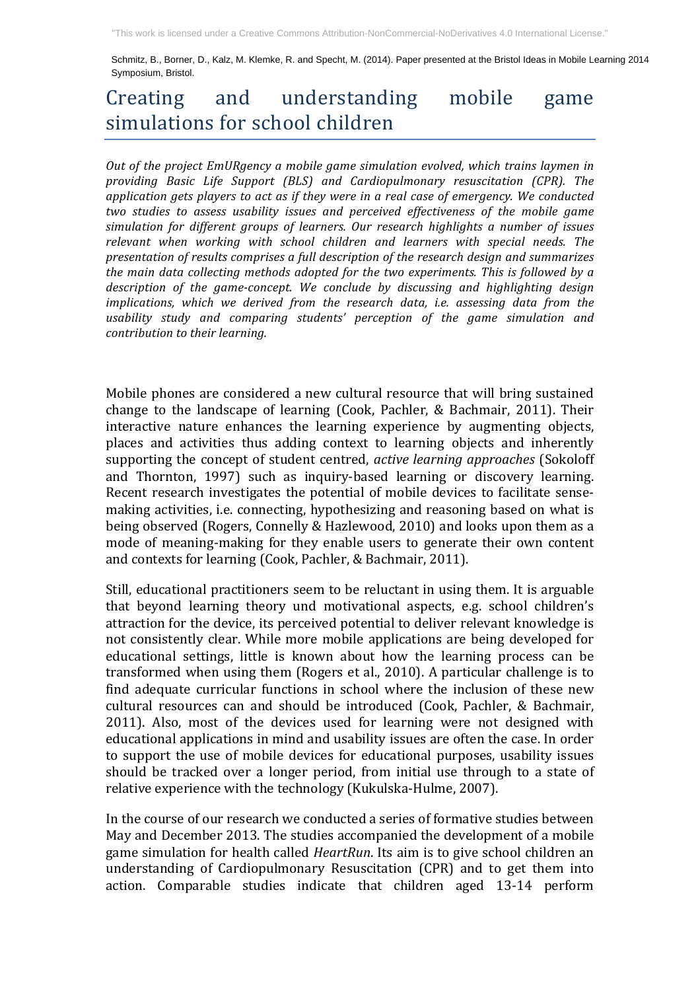Schmitz, B., Borner, D., Kalz, M. Klemke, R. and Specht, M. (2014). Paper presented at the Bristol Ideas in Mobile Learning 2014 "This work is licensed under a Creative Commons Attribution-NonCommercial-NoDerivatives 4.0 International License."<br>Schmitz, B., Borner, D., Kalz, M. Klemke, R. and Specht, M. (2014). Paper presented at the Bristol Ideas i

## Creating and understanding mobile game simulations for school children

Out of the project EmURgency a mobile game simulation evolved, which trains laymen in *providing Basic Life Support (BLS) and Cardiopulmonary resuscitation (CPR). The*  application gets players to act as if they were in a real case of emergency. We conducted *two* studies to assess usability issues and perceived effectiveness of the mobile game *simulation for different groups of learners. Our research highlights a number of issues relevant when working with school children and learners with special needs. The presentation of results comprises a full description of the research design and summarizes the main data collecting methods adopted for the two experiments. This is followed by a* description of the game-concept. We conclude by discussing and highlighting design *implications, which we derived from the research data, i.e. assessing data from the* usability study and comparing students' perception of the game simulation and *contribution to their learning.* 

Mobile phones are considered a new cultural resource that will bring sustained change to the landscape of learning (Cook, Pachler,  $&$  Bachmair, 2011). Their interactive nature enhances the learning experience by augmenting objects, places and activities thus adding context to learning objects and inherently supporting the concept of student centred, *active learning approaches* (Sokoloff and Thornton, 1997) such as inquiry-based learning or discovery learning. Recent research investigates the potential of mobile devices to facilitate sensemaking activities, i.e. connecting, hypothesizing and reasoning based on what is being observed (Rogers, Connelly & Hazlewood, 2010) and looks upon them as a mode of meaning-making for they enable users to generate their own content and contexts for learning (Cook, Pachler, & Bachmair, 2011).

Still, educational practitioners seem to be reluctant in using them. It is arguable that beyond learning theory und motivational aspects, e.g. school children's attraction for the device, its perceived potential to deliver relevant knowledge is not consistently clear. While more mobile applications are being developed for educational settings, little is known about how the learning process can be transformed when using them (Rogers et al., 2010). A particular challenge is to find adequate curricular functions in school where the inclusion of these new cultural resources can and should be introduced (Cook, Pachler, & Bachmair, 2011). Also, most of the devices used for learning were not designed with educational applications in mind and usability issues are often the case. In order to support the use of mobile devices for educational purposes, usability issues should be tracked over a longer period, from initial use through to a state of relative experience with the technology (Kukulska-Hulme, 2007).

In the course of our research we conducted a series of formative studies between May and December 2013. The studies accompanied the development of a mobile game simulation for health called *HeartRun*. Its aim is to give school children an understanding of Cardiopulmonary Resuscitation (CPR) and to get them into action. Comparable studies indicate that children aged 13-14 perform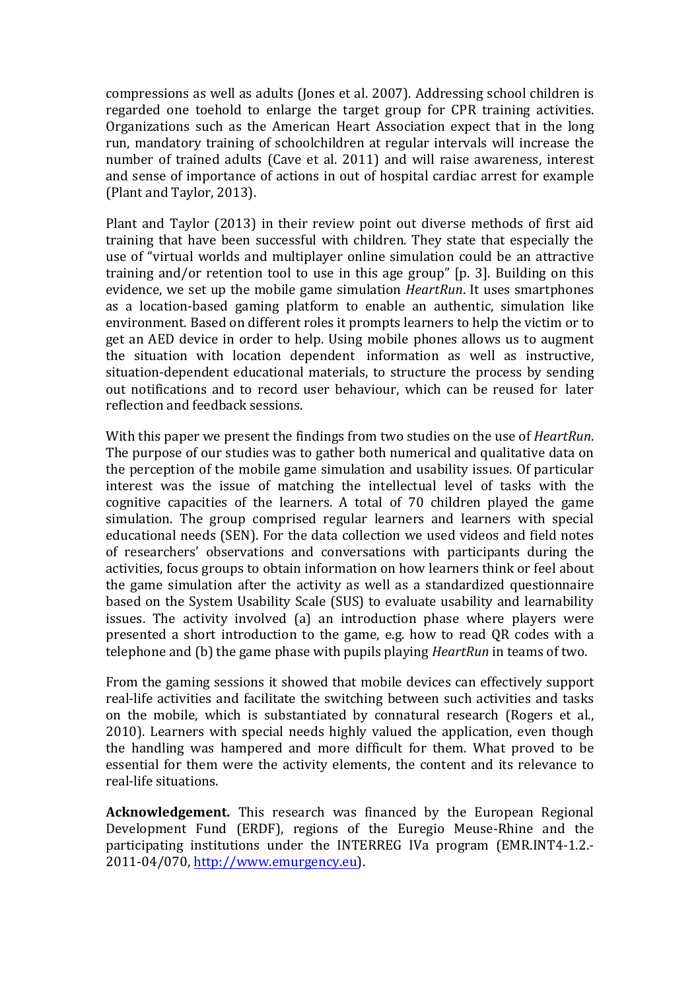compressions as well as adults (Jones et al. 2007). Addressing school children is regarded one toehold to enlarge the target group for CPR training activities. Organizations such as the American Heart Association expect that in the long run, mandatory training of schoolchildren at regular intervals will increase the number of trained adults (Cave et al. 2011) and will raise awareness, interest and sense of importance of actions in out of hospital cardiac arrest for example (Plant and Taylor, 2013).

Plant and Taylor (2013) in their review point out diverse methods of first aid training that have been successful with children. They state that especially the use of "virtual worlds and multiplayer online simulation could be an attractive training and/or retention tool to use in this age group" [p. 3]. Building on this evidence, we set up the mobile game simulation *HeartRun*. It uses smartphones as a location-based gaming platform to enable an authentic, simulation like environment. Based on different roles it prompts learners to help the victim or to get an AED device in order to help. Using mobile phones allows us to augment the situation with location dependent information as well as instructive, situation-dependent educational materials, to structure the process by sending out notifications and to record user behaviour, which can be reused for later reflection and feedback sessions.

With this paper we present the findings from two studies on the use of *HeartRun*. The purpose of our studies was to gather both numerical and qualitative data on the perception of the mobile game simulation and usability issues. Of particular interest was the issue of matching the intellectual level of tasks with the cognitive capacities of the learners. A total of 70 children played the game simulation. The group comprised regular learners and learners with special educational needs (SEN). For the data collection we used videos and field notes of researchers' observations and conversations with participants during the activities, focus groups to obtain information on how learners think or feel about the game simulation after the activity as well as a standardized questionnaire based on the System Usability Scale (SUS) to evaluate usability and learnability issues. The activity involved  $(a)$  an introduction phase where players were presented a short introduction to the game, e.g. how to read QR codes with a telephone and (b) the game phase with pupils playing *HeartRun* in teams of two.

From the gaming sessions it showed that mobile devices can effectively support real-life activities and facilitate the switching between such activities and tasks on the mobile, which is substantiated by connatural research (Rogers et al., 2010). Learners with special needs highly valued the application, even though the handling was hampered and more difficult for them. What proved to be essential for them were the activity elements, the content and its relevance to real-life situations.

**Acknowledgement.** This research was financed by the European Regional Development Fund (ERDF), regions of the Euregio Meuse-Rhine and the participating institutions under the INTERREG IVa program (EMR.INT4-1.2.-2011-04/070, http://www.emurgency.eu).